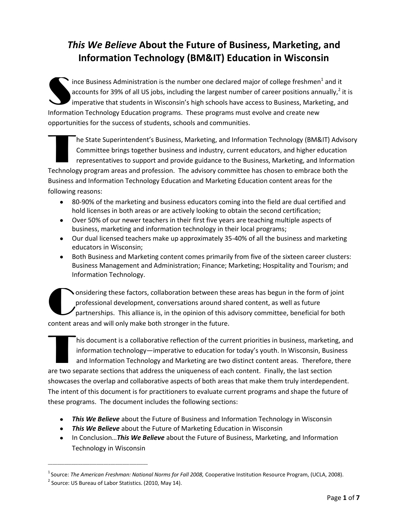### *This We Believe* **About the Future of Business, Marketing, and Information Technology (BM&IT) Education in Wisconsin**

ince Business Administration is the number one declared major of college freshmen<sup>1</sup> and it accounts for 39% of all US jobs, including the largest number of career positions annually,<sup>2</sup> it is imperative that students in Wisconsin's high schools have access to Business, Marketing, and Information Technology Education programs. These programs must evolve and create new opportunities for the success of students, schools and communities. S

he State Superintendent's Business, Marketing, and Information Technology (BM&IT) Advisory Committee brings together business and industry, current educators, and higher education representatives to support and provide guidance to the Business, Marketing, and Information Technology program areas and profession. The advisory committee has chosen to embrace both the opportun<br>Tanzania<br>Tanzania

Business and Information Technology Education and Marketing Education content areas for the following reasons:

- 80-90% of the marketing and business educators coming into the field are dual certified and hold licenses in both areas or are actively looking to obtain the second certification;
- Over 50% of our newer teachers in their first five years are teaching multiple aspects of business, marketing and information technology in their local programs;
- Our dual licensed teachers make up approximately 35-40% of all the business and marketing educators in Wisconsin;
- Both Business and Marketing content comes primarily from five of the sixteen career clusters: Business Management and Administration; Finance; Marketing; Hospitality and Tourism; and Information Technology.

onsidering these factors, collaboration between these areas has begun in the form of joint professional development, conversations around shared content, as well as future partnerships. This alliance is, in the opinion of this advisory committee, beneficial for both content areas and will only make both stronger in the future. C

his document is a collaborative reflection of the current priorities in business, marketing, and information technology—imperative to education for today's youth. In Wisconsin, Business and Information Technology and Marketing are two distinct content areas. Therefore, there are two separate sections that address the uniqueness of each content. Finally, the last section showcases the overlap and collaborative aspects of both areas that make them truly interdependent. The intent of this document is for practitioners to evaluate current programs and shape the future of these programs. The document includes the following sections: content d

- *This We Believe* about the Future of Business and Information Technology in Wisconsin
- *This We Believe* about the Future of Marketing Education in Wisconsin
- **I.** In Conclusion... This We Believe about the Future of Business, Marketing, and Information Technology in Wisconsin

\_\_\_\_\_\_\_\_\_\_\_\_\_\_\_\_\_\_\_\_\_\_\_\_\_\_\_\_\_\_\_\_\_\_\_\_\_\_\_\_\_\_\_

<sup>&</sup>lt;sup>1</sup> Source: *The American Freshman: National Norms for Fall 2008, Cooperative Institution Resource Program, (UCLA, 2008).* 

<sup>&</sup>lt;sup>2</sup> Source: US Bureau of Labor Statistics. (2010, May 14).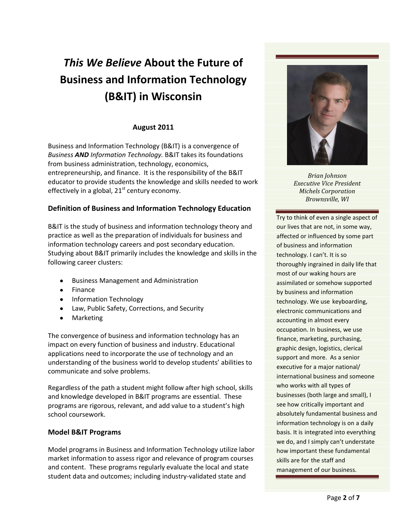# *This We Believe* **About the Future of Business and Information Technology (B&IT) in Wisconsin**

#### **August 2011**

Business and Information Technology (B&IT) is a convergence of *Business AND Information Technology.* B&IT takes its foundations from business administration, technology, economics, entrepreneurship, and finance. It is the responsibility of the B&IT educator to provide students the knowledge and skills needed to work effectively in a global,  $21<sup>st</sup>$  century economy.

#### **Definition of Business and Information Technology Education**

B&IT is the study of business and information technology theory and practice as well as the preparation of individuals for business and information technology careers and post secondary education. Studying about B&IT primarily includes the knowledge and skills in the following career clusters:

- Business Management and Administration
- Finance
- Information Technology
- Law, Public Safety, Corrections, and Security
- Marketing

The convergence of business and information technology has an impact on every function of business and industry. Educational applications need to incorporate the use of technology and an understanding of the business world to develop students' abilities to communicate and solve problems.

Regardless of the path a student might follow after high school, skills and knowledge developed in B&IT programs are essential. These programs are rigorous, relevant, and add value to a student's high school coursework.

#### **Model B&IT Programs**

Model programs in Business and Information Technology utilize labor market information to assess rigor and relevance of program courses and content. These programs regularly evaluate the local and state student data and outcomes; including industry-validated state and



*Brian Johnson Executive Vice President Michels Corporation Brownsville, WI*

Try to think of even a single aspect of our lives that are not, in some way, affected or influenced by some part of business and information technology. I can't. It is so thoroughly ingrained in daily life that most of our waking hours are assimilated or somehow supported by business and information technology. We use keyboarding, electronic communications and accounting in almost every occupation. In business, we use finance, marketing, purchasing, graphic design, logistics, clerical support and more. As a senior executive for a major national/ international business and someone who works with all types of businesses (both large and small), I see how critically important and absolutely fundamental business and information technology is on a daily basis. It is integrated into everything we do, and I simply can't understate how important these fundamental skills are for the staff and management of our business.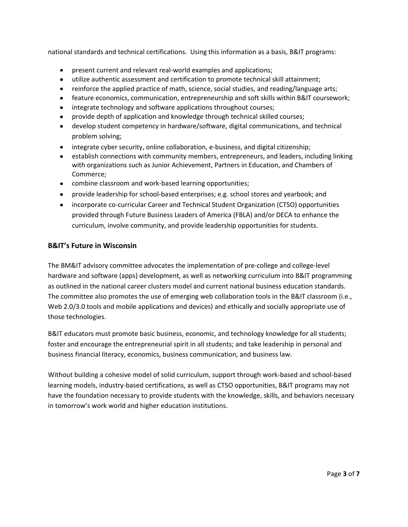national standards and technical certifications. Using this information as a basis, B&IT programs:

- present current and relevant real-world examples and applications;
- utilize authentic assessment and certification to promote technical skill attainment;
- reinforce the applied practice of math, science, social studies, and reading/language arts;
- feature economics, communication, entrepreneurship and soft skills within B&IT coursework;
- integrate technology and software applications throughout courses;
- provide depth of application and knowledge through technical skilled courses;
- develop student competency in hardware/software, digital communications, and technical problem solving;
- integrate cyber security, online collaboration, e-business, and digital citizenship;
- establish connections with community members, entrepreneurs, and leaders, including linking with organizations such as Junior Achievement, Partners in Education, and Chambers of Commerce;
- combine classroom and work-based learning opportunities;
- $\bullet$ provide leadership for school-based enterprises; e.g. school stores and yearbook; and
- incorporate co-curricular Career and Technical Student Organization (CTSO) opportunities provided through Future Business Leaders of America (FBLA) and/or DECA to enhance the curriculum, involve community, and provide leadership opportunities for students.

#### **B&IT's Future in Wisconsin**

The BM&IT advisory committee advocates the implementation of pre-college and college-level hardware and software (apps) development, as well as networking curriculum into B&IT programming as outlined in the national career clusters model and current national business education standards. The committee also promotes the use of emerging web collaboration tools in the B&IT classroom (i.e., Web 2.0/3.0 tools and mobile applications and devices) and ethically and socially appropriate use of those technologies.

B&IT educators must promote basic business, economic, and technology knowledge for all students; foster and encourage the entrepreneurial spirit in all students; and take leadership in personal and business financial literacy, economics, business communication, and business law.

Without building a cohesive model of solid curriculum, support through work-based and school-based learning models, industry-based certifications, as well as CTSO opportunities, B&IT programs may not have the foundation necessary to provide students with the knowledge, skills, and behaviors necessary in tomorrow's work world and higher education institutions.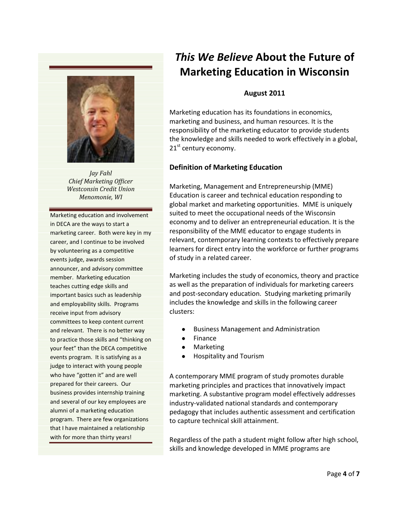

*Jay Fahl Chief Marketing Officer Westconsin Credit Union Menomonie, WI*

Marketing education and involvement in DECA are the ways to start a marketing career. Both were key in my career, and I continue to be involved by volunteering as a competitive events judge, awards session announcer, and advisory committee member. Marketing education teaches cutting edge skills and important basics such as leadership and employability skills. Programs receive input from advisory committees to keep content current and relevant. There is no better way to practice those skills and "thinking on your feet" than the DECA competitive events program. It is satisfying as a judge to interact with young people who have "gotten it" and are well prepared for their careers. Our business provides internship training and several of our key employees are alumni of a marketing education program. There are few organizations that I have maintained a relationship with for more than thirty years!

## *This We Believe* **About the Future of Marketing Education in Wisconsin**

#### **August 2011**

Marketing education has its foundations in economics, marketing and business, and human resources. It is the responsibility of the marketing educator to provide students the knowledge and skills needed to work effectively in a global,  $21<sup>st</sup>$  century economy.

#### **Definition of Marketing Education**

Marketing, Management and Entrepreneurship (MME) Education is career and technical education responding to global market and marketing opportunities. MME is uniquely suited to meet the occupational needs of the Wisconsin economy and to deliver an entrepreneurial education. It is the responsibility of the MME educator to engage students in relevant, contemporary learning contexts to effectively prepare learners for direct entry into the workforce or further programs of study in a related career.

Marketing includes the study of economics, theory and practice as well as the preparation of individuals for marketing careers and post-secondary education. Studying marketing primarily includes the knowledge and skills in the following career clusters:

- Business Management and Administration
- Finance
- Marketing
- Hospitality and Tourism

A contemporary MME program of study promotes durable marketing principles and practices that innovatively impact marketing. A substantive program model effectively addresses industry-validated national standards and contemporary pedagogy that includes authentic assessment and certification to capture technical skill attainment.

Regardless of the path a student might follow after high school, skills and knowledge developed in MME programs are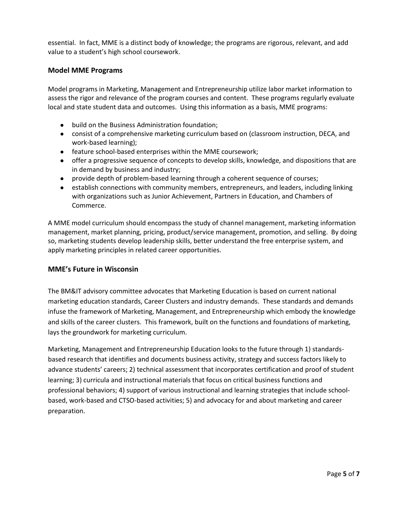essential. In fact, MME is a distinct body of knowledge; the programs are rigorous, relevant, and add value to a student's high school coursework.

#### **Model MME Programs**

Model programs in Marketing, Management and Entrepreneurship utilize labor market information to assess the rigor and relevance of the program courses and content. These programs regularly evaluate local and state student data and outcomes. Using this information as a basis, MME programs:

- build on the Business Administration foundation;
- consist of a comprehensive marketing curriculum based on (classroom instruction, DECA, and work-based learning);
- feature school-based enterprises within the MME coursework;
- offer a progressive sequence of concepts to develop skills, knowledge, and dispositions that are in demand by business and industry;
- provide depth of problem-based learning through a coherent sequence of courses;
- establish connections with community members, entrepreneurs, and leaders, including linking with organizations such as Junior Achievement, Partners in Education, and Chambers of Commerce.

A MME model curriculum should encompass the study of channel management, marketing information management, market planning, pricing, product/service management, promotion, and selling. By doing so, marketing students develop leadership skills, better understand the free enterprise system, and apply marketing principles in related career opportunities.

#### **MME's Future in Wisconsin**

The BM&IT advisory committee advocates that Marketing Education is based on current national marketing education standards, Career Clusters and industry demands. These standards and demands infuse the framework of Marketing, Management, and Entrepreneurship which embody the knowledge and skills of the career clusters. This framework, built on the functions and foundations of marketing, lays the groundwork for marketing curriculum.

Marketing, Management and Entrepreneurship Education looks to the future through 1) standardsbased research that identifies and documents business activity, strategy and success factors likely to advance students' careers; 2) technical assessment that incorporates certification and proof of student learning; 3) curricula and instructional materials that focus on critical business functions and professional behaviors; 4) support of various instructional and learning strategies that include schoolbased, work-based and CTSO-based activities; 5) and advocacy for and about marketing and career preparation.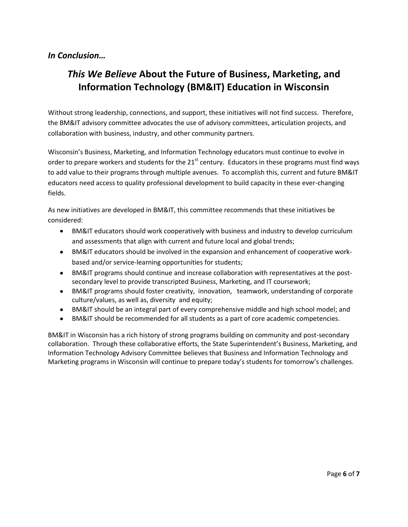### *In Conclusion…*

### *This We Believe* **About the Future of Business, Marketing, and Information Technology (BM&IT) Education in Wisconsin**

Without strong leadership, connections, and support, these initiatives will not find success. Therefore, the BM&IT advisory committee advocates the use of advisory committees, articulation projects, and collaboration with business, industry, and other community partners.

Wisconsin's Business, Marketing, and Information Technology educators must continue to evolve in order to prepare workers and students for the 21<sup>st</sup> century. Educators in these programs must find ways to add value to their programs through multiple avenues. To accomplish this, current and future BM&IT educators need access to quality professional development to build capacity in these ever-changing fields.

As new initiatives are developed in BM&IT, this committee recommends that these initiatives be considered:

- $\bullet$ BM&IT educators should work cooperatively with business and industry to develop curriculum and assessments that align with current and future local and global trends;
- BM&IT educators should be involved in the expansion and enhancement of cooperative workbased and/or service-learning opportunities for students;
- BM&IT programs should continue and increase collaboration with representatives at the postsecondary level to provide transcripted Business, Marketing, and IT coursework;
- BM&IT programs should foster creativity, innovation, teamwork, understanding of corporate culture/values, as well as, diversity and equity;
- BM&IT should be an integral part of every comprehensive middle and high school model; and
- BM&IT should be recommended for all students as a part of core academic competencies.

BM&IT in Wisconsin has a rich history of strong programs building on community and post-secondary collaboration. Through these collaborative efforts, the State Superintendent's Business, Marketing, and Information Technology Advisory Committee believes that Business and Information Technology and Marketing programs in Wisconsin will continue to prepare today's students for tomorrow's challenges.